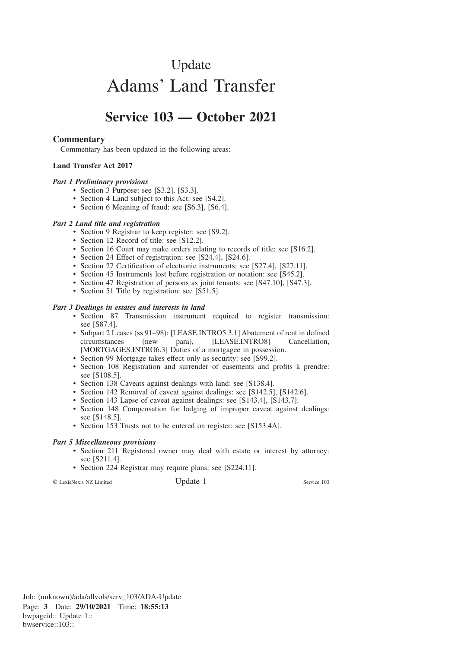# Update Adams' Land Transfer

# **Service 103 — October 2021**

### **Commentary**

Commentary has been updated in the following areas:

#### **Land Transfer Act 2017**

#### *Part 1 Preliminary provisions*

- Section 3 Purpose: see [S3.2], [S3.3].
- Section 4 Land subject to this Act: see [S4.2].
- Section 6 Meaning of fraud: see [S6.3], [S6.4].

#### *Part 2 Land title and registration*

- Section 9 Registrar to keep register: see [S9.2].
- Section 12 Record of title: see [S12.2].
- Section 16 Court may make orders relating to records of title: see [S16.2].
- Section 24 Effect of registration: see [S24.4], [S24.6].
- Section 27 Certification of electronic instruments: see [S27.4], [S27.11].
- Section 45 Instruments lost before registration or notation: see [S45.2].
- Section 47 Registration of persons as joint tenants: see [S47.10], [S47.3].
- Section 51 Title by registration: see [S51.5].

#### *Part 3 Dealings in estates and interests in land*

- Section 87 Transmission instrument required to register transmission: see [S87.4].
- Subpart 2 Leases (ss 91–98): [LEASE.INTRO5.3.1] Abatement of rent in defined circumstances (new para), [LEASE.INTRO8] Cancellation, [MORTGAGES.INTRO6.3] Duties of a mortgagee in possession.
- Section 99 Mortgage takes effect only as security: see [S99.2].
- Section 108 Registration and surrender of easements and profits à prendre: see [S108.5].
- Section 138 Caveats against dealings with land: see [S138.4].
- Section 142 Removal of caveat against dealings: see [S142.5], [S142.6].
- Section 143 Lapse of caveat against dealings: see [S143.4], [S143.7].
- Section 148 Compensation for lodging of improper caveat against dealings: see [S148.5].
- Section 153 Trusts not to be entered on register: see [S153.4A].

#### *Part 5 Miscellaneous provisions*

- Section 211 Registered owner may deal with estate or interest by attorney: see [S211.4].
- Section 224 Registrar may require plans: see [S224.11].